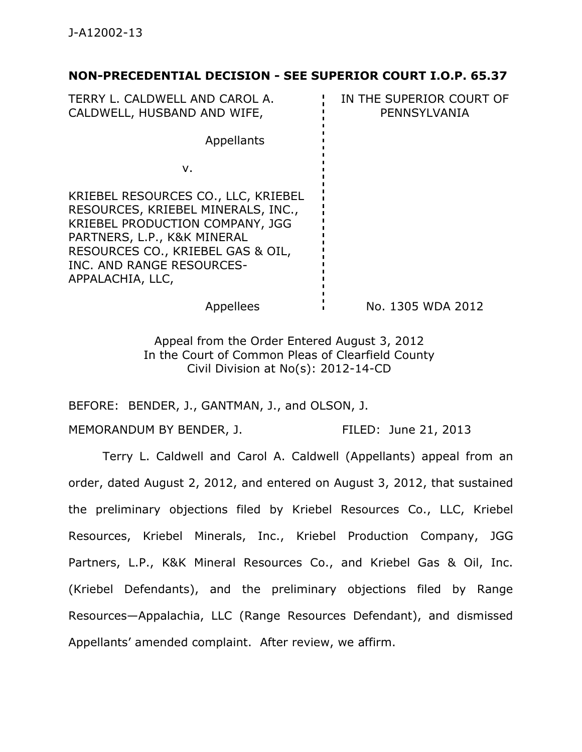## **NON-PRECEDENTIAL DECISION - SEE SUPERIOR COURT I.O.P. 65.37**

TERRY L. CALDWELL AND CAROL A. CALDWELL, HUSBAND AND WIFE, IN THE SUPERIOR COURT OF PENNSYLVANIA Appellants v. KRIEBEL RESOURCES CO., LLC, KRIEBEL RESOURCES, KRIEBEL MINERALS, INC., KRIEBEL PRODUCTION COMPANY, JGG PARTNERS, L.P., K&K MINERAL RESOURCES CO., KRIEBEL GAS & OIL, INC. AND RANGE RESOURCES-APPALACHIA, LLC, Appellees i No. 1305 WDA 2012

> Appeal from the Order Entered August 3, 2012 In the Court of Common Pleas of Clearfield County Civil Division at No(s): 2012-14-CD

BEFORE: BENDER, J., GANTMAN, J., and OLSON, J.

MEMORANDUM BY BENDER, J. FILED: June 21, 2013

 Terry L. Caldwell and Carol A. Caldwell (Appellants) appeal from an order, dated August 2, 2012, and entered on August 3, 2012, that sustained the preliminary objections filed by Kriebel Resources Co., LLC, Kriebel Resources, Kriebel Minerals, Inc., Kriebel Production Company, JGG Partners, L.P., K&K Mineral Resources Co., and Kriebel Gas & Oil, Inc. (Kriebel Defendants), and the preliminary objections filed by Range Resources—Appalachia, LLC (Range Resources Defendant), and dismissed Appellants' amended complaint. After review, we affirm.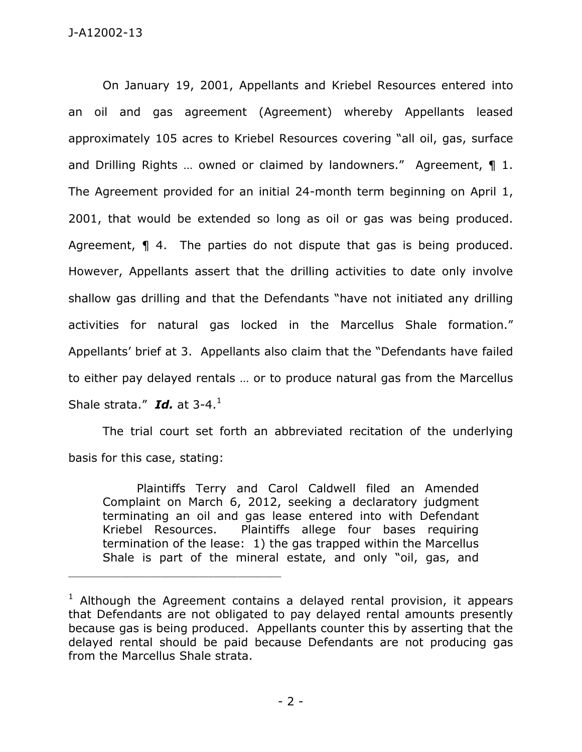On January 19, 2001, Appellants and Kriebel Resources entered into an oil and gas agreement (Agreement) whereby Appellants leased approximately 105 acres to Kriebel Resources covering "all oil, gas, surface and Drilling Rights ... owned or claimed by landowners." Agreement, 1 1. The Agreement provided for an initial 24-month term beginning on April 1, 2001, that would be extended so long as oil or gas was being produced. Agreement, **1** 4. The parties do not dispute that gas is being produced. However, Appellants assert that the drilling activities to date only involve shallow gas drilling and that the Defendants "have not initiated any drilling activities for natural gas locked in the Marcellus Shale formation." Appellants' brief at 3. Appellants also claim that the "Defendants have failed to either pay delayed rentals … or to produce natural gas from the Marcellus Shale strata." Id. at 3-4.<sup>1</sup>

 The trial court set forth an abbreviated recitation of the underlying basis for this case, stating:

Plaintiffs Terry and Carol Caldwell filed an Amended Complaint on March 6, 2012, seeking a declaratory judgment terminating an oil and gas lease entered into with Defendant Kriebel Resources. Plaintiffs allege four bases requiring termination of the lease: 1) the gas trapped within the Marcellus Shale is part of the mineral estate, and only "oil, gas, and

\_\_\_\_\_\_\_\_\_\_\_\_\_\_\_\_\_\_\_\_\_\_\_\_\_\_\_\_\_\_\_\_\_\_\_\_\_\_\_\_\_\_\_\_

 $1$  Although the Agreement contains a delayed rental provision, it appears that Defendants are not obligated to pay delayed rental amounts presently because gas is being produced. Appellants counter this by asserting that the delayed rental should be paid because Defendants are not producing gas from the Marcellus Shale strata.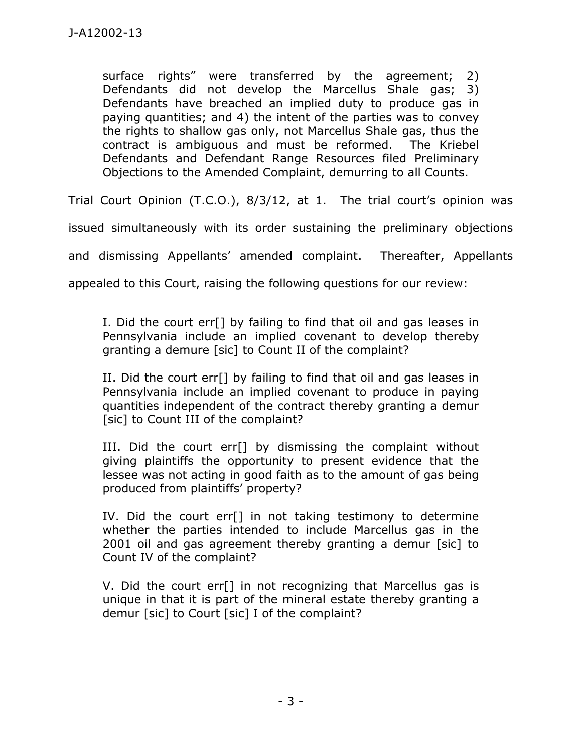surface rights" were transferred by the agreement; 2) Defendants did not develop the Marcellus Shale gas; 3) Defendants have breached an implied duty to produce gas in paying quantities; and 4) the intent of the parties was to convey the rights to shallow gas only, not Marcellus Shale gas, thus the contract is ambiguous and must be reformed. The Kriebel Defendants and Defendant Range Resources filed Preliminary Objections to the Amended Complaint, demurring to all Counts.

Trial Court Opinion (T.C.O.), 8/3/12, at 1. The trial court's opinion was

issued simultaneously with its order sustaining the preliminary objections

and dismissing Appellants' amended complaint. Thereafter, Appellants

appealed to this Court, raising the following questions for our review:

I. Did the court err[] by failing to find that oil and gas leases in Pennsylvania include an implied covenant to develop thereby granting a demure [sic] to Count II of the complaint?

II. Did the court err[] by failing to find that oil and gas leases in Pennsylvania include an implied covenant to produce in paying quantities independent of the contract thereby granting a demur [sic] to Count III of the complaint?

III. Did the court err[] by dismissing the complaint without giving plaintiffs the opportunity to present evidence that the lessee was not acting in good faith as to the amount of gas being produced from plaintiffs' property?

IV. Did the court err[] in not taking testimony to determine whether the parties intended to include Marcellus gas in the 2001 oil and gas agreement thereby granting a demur [sic] to Count IV of the complaint?

V. Did the court err[] in not recognizing that Marcellus gas is unique in that it is part of the mineral estate thereby granting a demur [sic] to Court [sic] I of the complaint?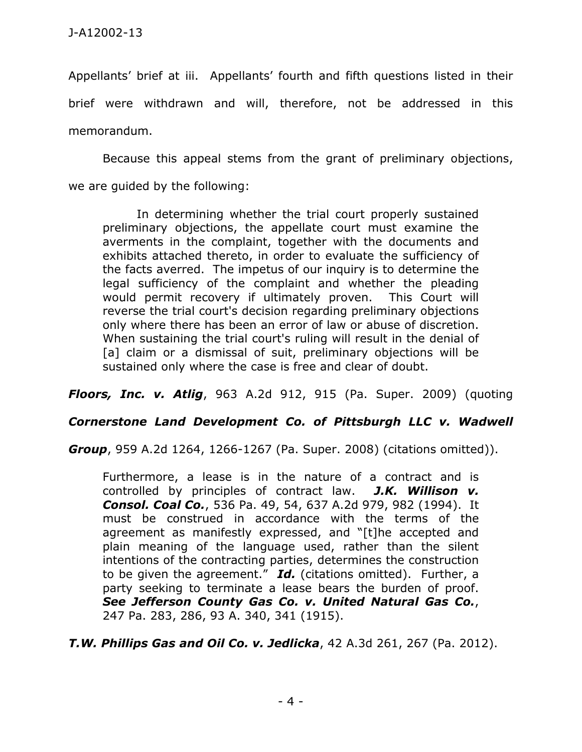Appellants' brief at iii. Appellants' fourth and fifth questions listed in their brief were withdrawn and will, therefore, not be addressed in this memorandum.

 Because this appeal stems from the grant of preliminary objections, we are guided by the following:

In determining whether the trial court properly sustained preliminary objections, the appellate court must examine the averments in the complaint, together with the documents and exhibits attached thereto, in order to evaluate the sufficiency of the facts averred. The impetus of our inquiry is to determine the legal sufficiency of the complaint and whether the pleading would permit recovery if ultimately proven. This Court will reverse the trial court's decision regarding preliminary objections only where there has been an error of law or abuse of discretion. When sustaining the trial court's ruling will result in the denial of [a] claim or a dismissal of suit, preliminary objections will be sustained only where the case is free and clear of doubt.

*Floors, Inc. v. Atlig*, 963 A.2d 912, 915 (Pa. Super. 2009) (quoting

## *Cornerstone Land Development Co. of Pittsburgh LLC v. Wadwell*

*Group*, 959 A.2d 1264, 1266-1267 (Pa. Super. 2008) (citations omitted)).

Furthermore, a lease is in the nature of a contract and is controlled by principles of contract law. *J.K. Willison v. Consol. Coal Co.*, 536 Pa. 49, 54, 637 A.2d 979, 982 (1994). It must be construed in accordance with the terms of the agreement as manifestly expressed, and "[t]he accepted and plain meaning of the language used, rather than the silent intentions of the contracting parties, determines the construction to be given the agreement." *Id.* (citations omitted). Further, a party seeking to terminate a lease bears the burden of proof. *See Jefferson County Gas Co. v. United Natural Gas Co.*, 247 Pa. 283, 286, 93 A. 340, 341 (1915).

*T.W. Phillips Gas and Oil Co. v. Jedlicka*, 42 A.3d 261, 267 (Pa. 2012).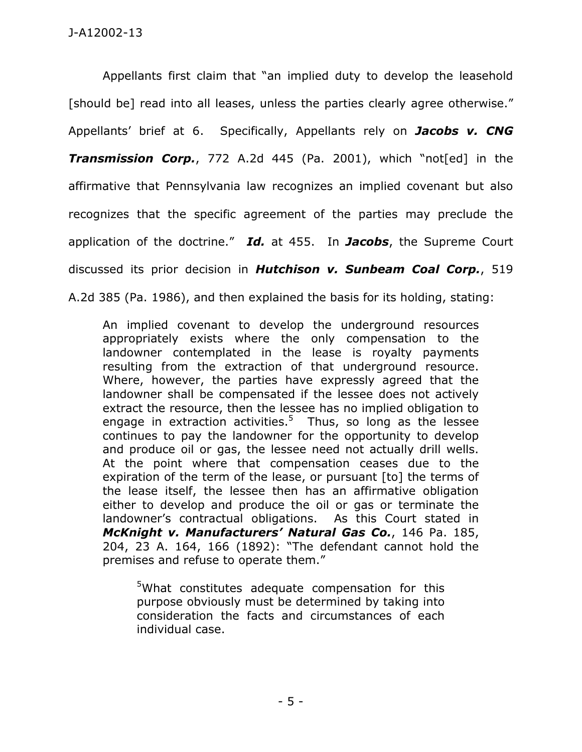Appellants first claim that "an implied duty to develop the leasehold [should be] read into all leases, unless the parties clearly agree otherwise." Appellants' brief at 6. Specifically, Appellants rely on *Jacobs v. CNG Transmission Corp.*, 772 A.2d 445 (Pa. 2001), which "not[ed] in the affirmative that Pennsylvania law recognizes an implied covenant but also recognizes that the specific agreement of the parties may preclude the application of the doctrine." *Id.* at 455. In *Jacobs*, the Supreme Court discussed its prior decision in *Hutchison v. Sunbeam Coal Corp.*, 519 A.2d 385 (Pa. 1986), and then explained the basis for its holding, stating:

An implied covenant to develop the underground resources appropriately exists where the only compensation to the landowner contemplated in the lease is royalty payments resulting from the extraction of that underground resource. Where, however, the parties have expressly agreed that the landowner shall be compensated if the lessee does not actively extract the resource, then the lessee has no implied obligation to engage in extraction activities.<sup>5</sup> Thus, so long as the lessee continues to pay the landowner for the opportunity to develop and produce oil or gas, the lessee need not actually drill wells. At the point where that compensation ceases due to the expiration of the term of the lease, or pursuant [to] the terms of the lease itself, the lessee then has an affirmative obligation either to develop and produce the oil or gas or terminate the landowner's contractual obligations. As this Court stated in *McKnight v. Manufacturers' Natural Gas Co.*, 146 Pa. 185, 204, 23 A. 164, 166 (1892): "The defendant cannot hold the premises and refuse to operate them."

<sup>5</sup>What constitutes adequate compensation for this purpose obviously must be determined by taking into consideration the facts and circumstances of each individual case.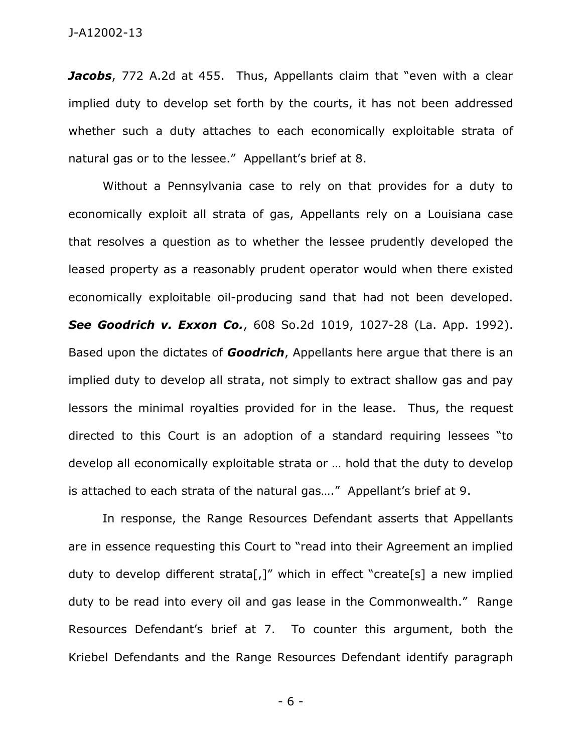Jacobs, 772 A.2d at 455. Thus, Appellants claim that "even with a clear implied duty to develop set forth by the courts, it has not been addressed whether such a duty attaches to each economically exploitable strata of natural gas or to the lessee." Appellant's brief at 8.

 Without a Pennsylvania case to rely on that provides for a duty to economically exploit all strata of gas, Appellants rely on a Louisiana case that resolves a question as to whether the lessee prudently developed the leased property as a reasonably prudent operator would when there existed economically exploitable oil-producing sand that had not been developed. *See Goodrich v. Exxon Co.*, 608 So.2d 1019, 1027-28 (La. App. 1992). Based upon the dictates of *Goodrich*, Appellants here argue that there is an implied duty to develop all strata, not simply to extract shallow gas and pay lessors the minimal royalties provided for in the lease. Thus, the request directed to this Court is an adoption of a standard requiring lessees "to develop all economically exploitable strata or … hold that the duty to develop is attached to each strata of the natural gas…." Appellant's brief at 9.

 In response, the Range Resources Defendant asserts that Appellants are in essence requesting this Court to "read into their Agreement an implied duty to develop different strata[,]" which in effect "create[s] a new implied duty to be read into every oil and gas lease in the Commonwealth." Range Resources Defendant's brief at 7. To counter this argument, both the Kriebel Defendants and the Range Resources Defendant identify paragraph

- 6 -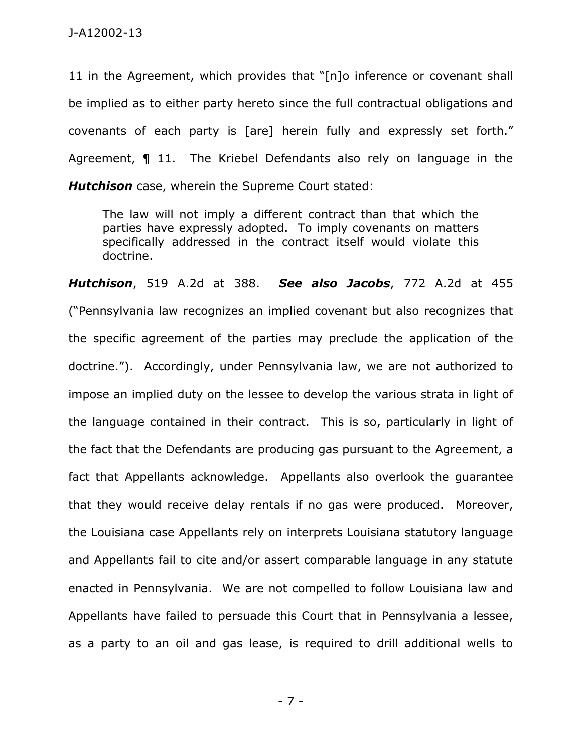11 in the Agreement, which provides that "[n]o inference or covenant shall be implied as to either party hereto since the full contractual obligations and covenants of each party is [are] herein fully and expressly set forth." Agreement, ¶ 11. The Kriebel Defendants also rely on language in the *Hutchison* case, wherein the Supreme Court stated:

The law will not imply a different contract than that which the parties have expressly adopted. To imply covenants on matters specifically addressed in the contract itself would violate this doctrine.

*Hutchison*, 519 A.2d at 388. *See also Jacobs*, 772 A.2d at 455 ("Pennsylvania law recognizes an implied covenant but also recognizes that the specific agreement of the parties may preclude the application of the doctrine."). Accordingly, under Pennsylvania law, we are not authorized to impose an implied duty on the lessee to develop the various strata in light of the language contained in their contract. This is so, particularly in light of the fact that the Defendants are producing gas pursuant to the Agreement, a fact that Appellants acknowledge. Appellants also overlook the guarantee that they would receive delay rentals if no gas were produced. Moreover, the Louisiana case Appellants rely on interprets Louisiana statutory language and Appellants fail to cite and/or assert comparable language in any statute enacted in Pennsylvania. We are not compelled to follow Louisiana law and Appellants have failed to persuade this Court that in Pennsylvania a lessee, as a party to an oil and gas lease, is required to drill additional wells to

- 7 -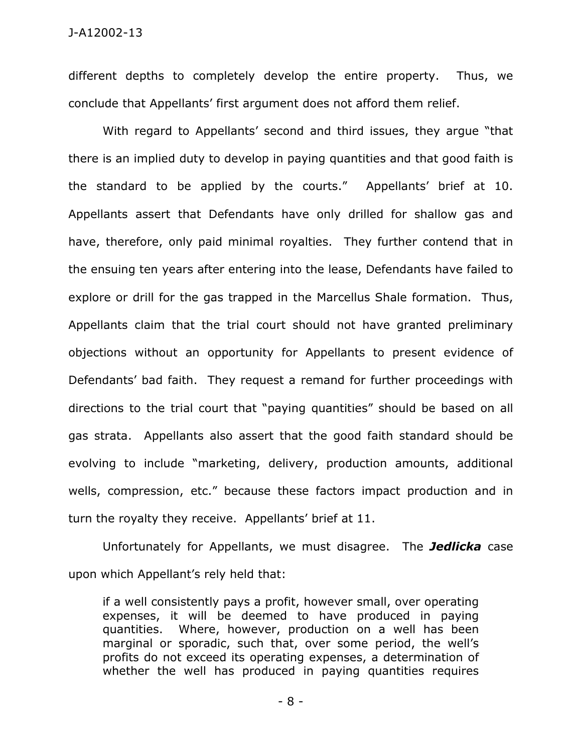different depths to completely develop the entire property. Thus, we conclude that Appellants' first argument does not afford them relief.

 With regard to Appellants' second and third issues, they argue "that there is an implied duty to develop in paying quantities and that good faith is the standard to be applied by the courts." Appellants' brief at 10. Appellants assert that Defendants have only drilled for shallow gas and have, therefore, only paid minimal royalties. They further contend that in the ensuing ten years after entering into the lease, Defendants have failed to explore or drill for the gas trapped in the Marcellus Shale formation. Thus, Appellants claim that the trial court should not have granted preliminary objections without an opportunity for Appellants to present evidence of Defendants' bad faith. They request a remand for further proceedings with directions to the trial court that "paying quantities" should be based on all gas strata. Appellants also assert that the good faith standard should be evolving to include "marketing, delivery, production amounts, additional wells, compression, etc." because these factors impact production and in turn the royalty they receive. Appellants' brief at 11.

 Unfortunately for Appellants, we must disagree. The *Jedlicka* case upon which Appellant's rely held that:

if a well consistently pays a profit, however small, over operating expenses, it will be deemed to have produced in paying quantities. Where, however, production on a well has been marginal or sporadic, such that, over some period, the well's profits do not exceed its operating expenses, a determination of whether the well has produced in paying quantities requires

- 8 -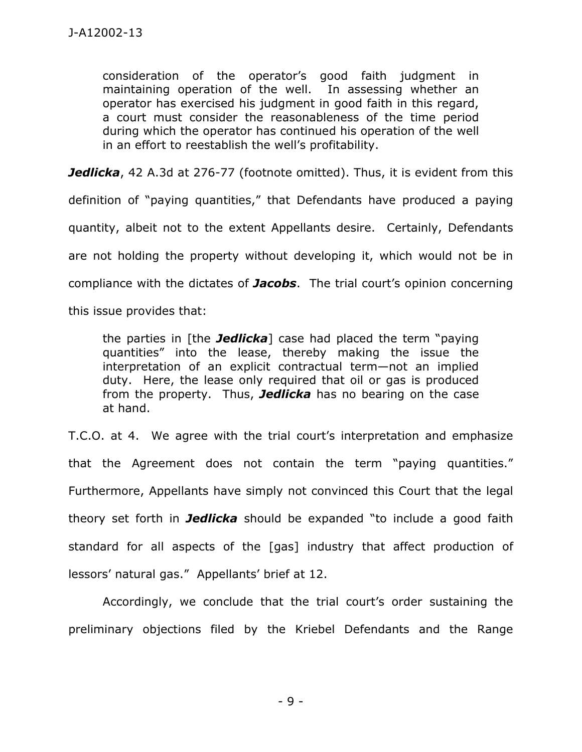consideration of the operator's good faith judgment in maintaining operation of the well. In assessing whether an operator has exercised his judgment in good faith in this regard, a court must consider the reasonableness of the time period during which the operator has continued his operation of the well in an effort to reestablish the well's profitability.

**Jedlicka**, 42 A.3d at 276-77 (footnote omitted). Thus, it is evident from this

definition of "paying quantities," that Defendants have produced a paying quantity, albeit not to the extent Appellants desire. Certainly, Defendants are not holding the property without developing it, which would not be in compliance with the dictates of *Jacobs*. The trial court's opinion concerning

this issue provides that:

the parties in [the *Jedlicka*] case had placed the term "paying quantities" into the lease, thereby making the issue the interpretation of an explicit contractual term—not an implied duty. Here, the lease only required that oil or gas is produced from the property. Thus, *Jedlicka* has no bearing on the case at hand.

T.C.O. at 4. We agree with the trial court's interpretation and emphasize that the Agreement does not contain the term "paying quantities." Furthermore, Appellants have simply not convinced this Court that the legal theory set forth in *Jedlicka* should be expanded "to include a good faith standard for all aspects of the [gas] industry that affect production of lessors' natural gas." Appellants' brief at 12.

Accordingly, we conclude that the trial court's order sustaining the preliminary objections filed by the Kriebel Defendants and the Range